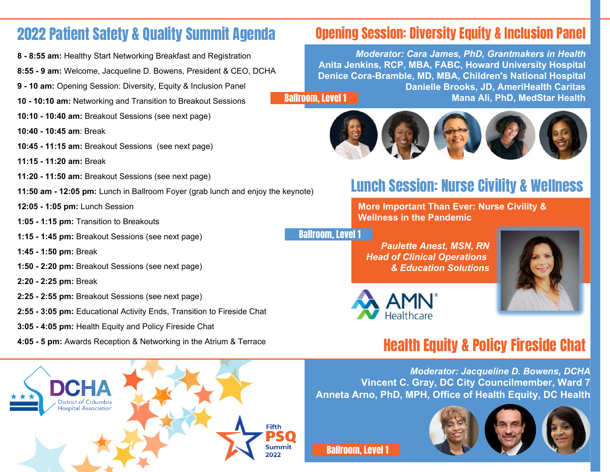### 2022 Patient Safety & Quality Summit Agenda

- **8 8:55 am:** Healthy Start Networking Breakfast and Registration
- **8:55 9 am:** Welcome, Jacqueline D. Bowens, President & CEO, DCHA
- **9 10 am:** Opening Session: Diversity, Equity & Inclusion Panel
- **10 10:10 am:** Networking and Transition to Breakout Sessions
- **10:10 10:40 am:** Breakout Sessions (see next page)
- **10:40 10:45 am**: Break
- **10:45 11:15 am:** Breakout Sessions (see next page)
- **11:15 11:20 am:** Break
- **11:20 11:50 am:** Breakout Sessions (see next page)
- **11:50 am 12:05 pm:** Lunch in Ballroom Foyer (grab lunch and enjoy the keynote)
- **12:05 1:05 pm:** Lunch Session
- **1:05 1:15 pm:** Transition to Breakouts
- **1:15 1:45 pm:** Breakout Sessions (see next page)
- **1:45 1:50 pm:** Break
- **1:50 2:20 pm:** Breakout Sessions (see next page)
- **2:20 2:25 pm:** Break
- **2:25 2:55 pm:** Breakout Sessions (see next page)
- **2:55 3:05 pm:** Educational Activity Ends, Transition to Fireside Chat
- **3:05 4:05 pm:** Health Equity and Policy Fireside Chat
- **4:05 5 pm:** Awards Reception & Networking in the Atrium & Terrace

# Opening Session: Diversity Equity & Inclusion Panel

*Moderator: Cara James, PhD, Grantmakers in Health* **Anita Jenkins, RCP, MBA, FABC, Howard University Hospital Denice Cora-Bramble, MD, MBA, Children's National Hospital Danielle Brooks, JD, AmeriHealth Caritas Mana Ali, PhD, MedStar Health** Ballroom, Level 1



## Lunch Session: Nurse Civility & Wellness

**More Important Than Ever: Nurse Civility & Wellness in the Pandemic**

Ballroom, Level 1

*Paulette Anest, MSN, RN Head of Clinical Operations & Education Solutions*





## Health Equity & Policy Fireside Chat

*Moderator: Jacqueline D. Bowens, DCHA* **Vincent C. Gray, DC City Councilmember, Ward 7 Anneta Arno, PhD, MPH, Office of Health Equity, DC Health**



Ballroom, Level 1